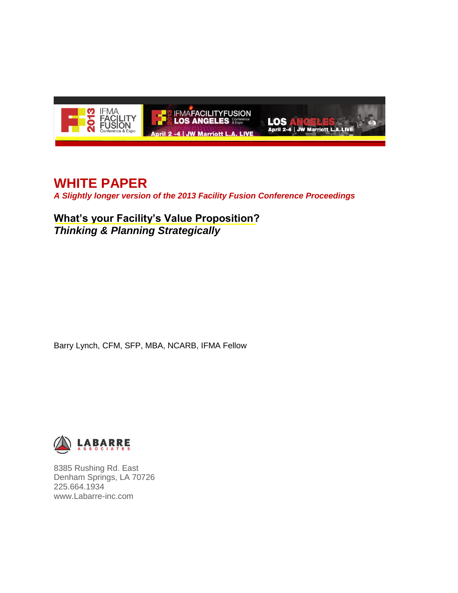

# **WHITE PAPER**

*A Slightly longer version of the 2013 Facility Fusion Conference Proceedings*

**What's your Facility's Value Proposition?** *Thinking & Planning Strategically*

Barry Lynch, CFM, SFP, MBA, NCARB, IFMA Fellow



8385 Rushing Rd. East Denham Springs, LA 70726 225.664.1934 www.Labarre-inc.com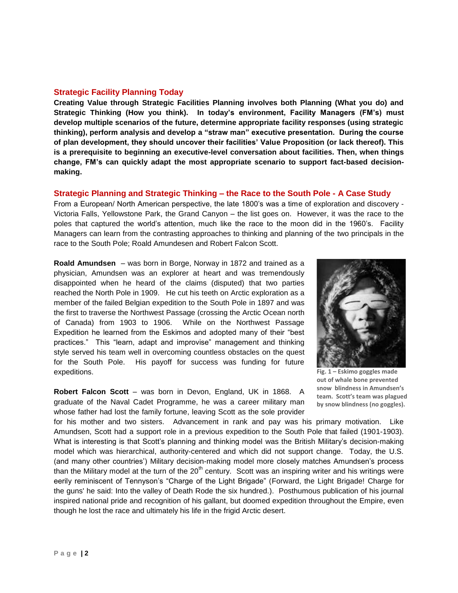# **Strategic Facility Planning Today**

**Creating Value through Strategic Facilities Planning involves both Planning (What you do) and Strategic Thinking (How you think). In today's environment, Facility Managers (FM's) must develop multiple scenarios of the future, determine appropriate facility responses (using strategic thinking), perform analysis and develop a "straw man" executive presentation. During the course of plan development, they should uncover their facilities' Value Proposition (or lack thereof). This is a prerequisite to beginning an executive-level conversation about facilities. Then, when things change, FM's can quickly adapt the most appropriate scenario to support fact-based decisionmaking.**

# **Strategic Planning and Strategic Thinking – the Race to the South Pole - A Case Study**

From a European/ North American perspective, the late 1800's was a time of exploration and discovery - Victoria Falls, Yellowstone Park, the Grand Canyon – the list goes on. However, it was the race to the poles that captured the world's attention, much like the race to the moon did in the 1960's. Facility Managers can learn from the contrasting approaches to thinking and planning of the two principals in the race to the South Pole; Roald Amundesen and Robert Falcon Scott.

**Roald Amundsen** – was born in Borge, Norway in 1872 and trained as a physician, Amundsen was an explorer at heart and was tremendously disappointed when he heard of the claims (disputed) that two parties reached the North Pole in 1909. He cut his teeth on Arctic exploration as a member of the failed Belgian expedition to the South Pole in 1897 and was the first to traverse the Northwest Passage (crossing the Arctic Ocean north of Canada) from 1903 to 1906. While on the Northwest Passage Expedition he learned from the Eskimos and adopted many of their "best practices." This "learn, adapt and improvise" management and thinking style served his team well in overcoming countless obstacles on the quest for the South Pole. His payoff for success was funding for future expeditions.

**Robert Falcon Scott** – was born in Devon, England, UK in 1868. A graduate of the Naval Cadet Programme, he was a career military man whose father had lost the family fortune, leaving Scott as the sole provider



**Fig. 1 – Eskimo goggles made out of whale bone prevented snow blindness in Amundsen's team. Scott's team was plagued by snow blindness (no goggles).**

for his mother and two sisters. Advancement in rank and pay was his primary motivation. Like Amundsen, Scott had a support role in a previous expedition to the South Pole that failed (1901-1903). What is interesting is that Scott's planning and thinking model was the British Military's decision-making model which was hierarchical, authority-centered and which did not support change. Today, the U.S. (and many other countries') Military decision-making model more closely matches Amundsen's process than the Military model at the turn of the  $20<sup>th</sup>$  century. Scott was an inspiring writer and his writings were eerily reminiscent of Tennyson's "Charge of the Light Brigade" (Forward, the Light Brigade! Charge for the guns' he said: Into the valley of Death Rode the six hundred.). Posthumous publication of his journal inspired national pride and recognition of his gallant, but doomed expedition throughout the Empire, even though he lost the race and ultimately his life in the frigid Arctic desert.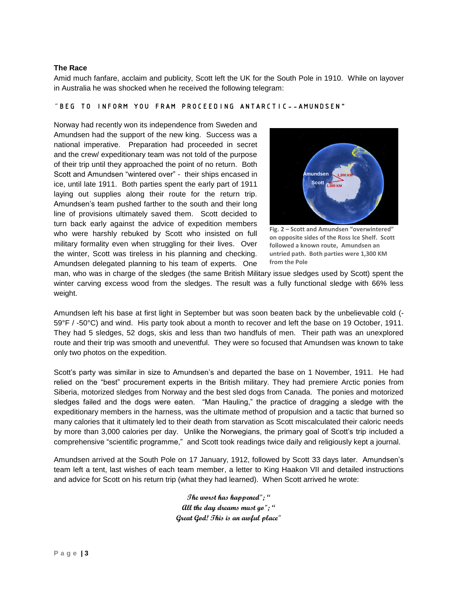#### **The Race**

Amid much fanfare, acclaim and publicity, Scott left the UK for the South Pole in 1910. While on layover in Australia he was shocked when he received the following telegram:

#### "BEG TO INFORM YOU FRAM PROCEEDING ANTARCTIC--AMUNDSEN"

Norway had recently won its independence from Sweden and Amundsen had the support of the new king. Success was a national imperative. Preparation had proceeded in secret and the crew/ expeditionary team was not told of the purpose of their trip until they approached the point of no return. Both Scott and Amundsen "wintered over" - their ships encased in ice, until late 1911. Both parties spent the early part of 1911 laying out supplies along their route for the return trip. Amundsen's team pushed farther to the south and their long line of provisions ultimately saved them. Scott decided to turn back early against the advice of expedition members who were harshly rebuked by Scott who insisted on full military formality even when struggling for their lives. Over the winter, Scott was tireless in his planning and checking. Amundsen delegated planning to his team of experts. One



**Fig. 2 – Scott and Amundsen "overwintered" on opposite sides of the Ross Ice Shelf. Scott followed a known route, Amundsen an untried path. Both parties were 1,300 KM from the Pole**

man, who was in charge of the sledges (the same British Military issue sledges used by Scott) spent the winter carving excess wood from the sledges. The result was a fully functional sledge with 66% less weight.

Amundsen left his base at first light in September but was soon beaten back by the unbelievable cold (- 59°F / -50°C) and wind. His party took about a month to recover and left the base on 19 October, 1911. They had 5 sledges, 52 dogs, skis and less than two handfuls of men. Their path was an unexplored route and their trip was smooth and uneventful. They were so focused that Amundsen was known to take only two photos on the expedition.

Scott's party was similar in size to Amundsen's and departed the base on 1 November, 1911. He had relied on the "best" procurement experts in the British military. They had premiere Arctic ponies from Siberia, motorized sledges from Norway and the best sled dogs from Canada. The ponies and motorized sledges failed and the dogs were eaten. "Man Hauling," the practice of dragging a sledge with the expeditionary members in the harness, was the ultimate method of propulsion and a tactic that burned so many calories that it ultimately led to their death from starvation as Scott miscalculated their caloric needs by more than 3,000 calories per day. Unlike the Norwegians, the primary goal of Scott's trip included a comprehensive "scientific programme," and Scott took readings twice daily and religiously kept a journal.

Amundsen arrived at the South Pole on 17 January, 1912, followed by Scott 33 days later. Amundsen's team left a tent, last wishes of each team member, a letter to King Haakon VII and detailed instructions and advice for Scott on his return trip (what they had learned). When Scott arrived he wrote:

> **The worst has happened"; " All the day dreams must go"; " Great God! This is an awful place"**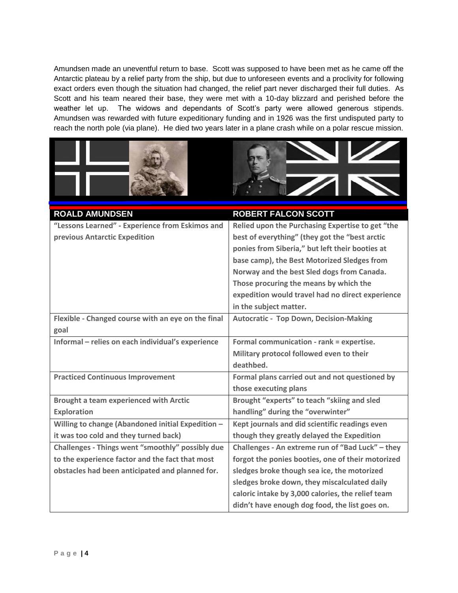Amundsen made an uneventful return to base. Scott was supposed to have been met as he came off the Antarctic plateau by a relief party from the ship, but due to unforeseen events and a proclivity for following exact orders even though the situation had changed, the relief part never discharged their full duties. As Scott and his team neared their base, they were met with a 10-day blizzard and perished before the weather let up. The widows and dependants of Scott's party were allowed generous stipends. Amundsen was rewarded with future expeditionary funding and in 1926 was the first undisputed party to reach the north pole (via plane). He died two years later in a plane crash while on a polar rescue mission.





| <b>ROALD AMUNDSEN</b>                              | <b>ROBERT FALCON SCOTT</b>                        |
|----------------------------------------------------|---------------------------------------------------|
| "Lessons Learned" - Experience from Eskimos and    | Relied upon the Purchasing Expertise to get "the  |
| previous Antarctic Expedition                      | best of everything" (they got the "best arctic    |
|                                                    | ponies from Siberia," but left their booties at   |
|                                                    | base camp), the Best Motorized Sledges from       |
|                                                    | Norway and the best Sled dogs from Canada.        |
|                                                    | Those procuring the means by which the            |
|                                                    | expedition would travel had no direct experience  |
|                                                    | in the subject matter.                            |
| Flexible - Changed course with an eye on the final | <b>Autocratic - Top Down, Decision-Making</b>     |
| goal                                               |                                                   |
| Informal - relies on each individual's experience  | Formal communication - rank = expertise.          |
|                                                    | Military protocol followed even to their          |
|                                                    | deathbed.                                         |
| <b>Practiced Continuous Improvement</b>            | Formal plans carried out and not questioned by    |
|                                                    | those executing plans                             |
| <b>Brought a team experienced with Arctic</b>      | Brought "experts" to teach "skiing and sled       |
| <b>Exploration</b>                                 | handling" during the "overwinter"                 |
| Willing to change (Abandoned initial Expedition -  | Kept journals and did scientific readings even    |
| it was too cold and they turned back)              | though they greatly delayed the Expedition        |
| Challenges - Things went "smoothly" possibly due   | Challenges - An extreme run of "Bad Luck" - they  |
| to the experience factor and the fact that most    | forgot the ponies booties, one of their motorized |
| obstacles had been anticipated and planned for.    | sledges broke though sea ice, the motorized       |
|                                                    | sledges broke down, they miscalculated daily      |
|                                                    | caloric intake by 3,000 calories, the relief team |
|                                                    | didn't have enough dog food, the list goes on.    |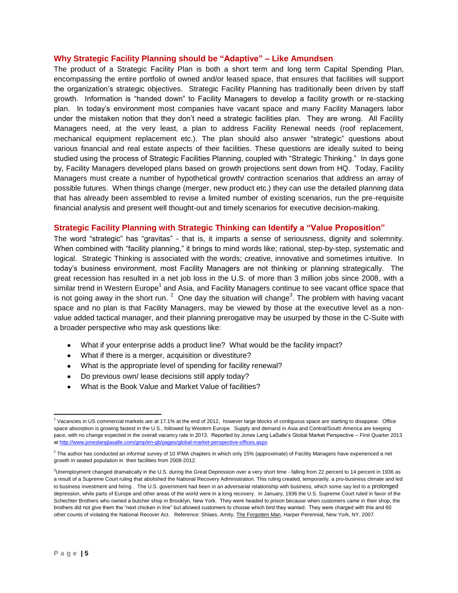#### **Why Strategic Facility Planning should be "Adaptive" – Like Amundsen**

The product of a Strategic Facility Plan is both a short term and long term Capital Spending Plan, encompassing the entire portfolio of owned and/or leased space, that ensures that facilities will support the organization's strategic objectives. Strategic Facility Planning has traditionally been driven by staff growth. Information is "handed down" to Facility Managers to develop a facility growth or re-stacking plan. In today's environment most companies have vacant space and many Facility Managers labor under the mistaken notion that they don't need a strategic facilities plan. They are wrong. All Facility Managers need, at the very least, a plan to address Facility Renewal needs (roof replacement, mechanical equipment replacement etc.). The plan should also answer "strategic" questions about various financial and real estate aspects of their facilities. These questions are ideally suited to being studied using the process of Strategic Facilities Planning, coupled with "Strategic Thinking." In days gone by, Facility Managers developed plans based on growth projections sent down from HQ. Today, Facility Managers must create a number of hypothetical growth/ contraction scenarios that address an array of possible futures. When things change (merger, new product etc.) they can use the detailed planning data that has already been assembled to revise a limited number of existing scenarios, run the pre-requisite financial analysis and present well thought-out and timely scenarios for executive decision-making.

#### **Strategic Facility Planning with Strategic Thinking can Identify a "Value Proposition"**

The word "strategic" has "gravitas" - that is, it imparts a sense of seriousness, dignity and solemnity. When combined with "facility planning," it brings to mind words like; rational, step-by-step, systematic and logical. Strategic Thinking is associated with the words; creative, innovative and sometimes intuitive. In today's business environment, most Facility Managers are not thinking or planning strategically. The great recession has resulted in a net job loss in the U.S. of more than 3 million jobs since 2008, with a similar trend in Western Europe<sup>1</sup> and Asia, and Facility Managers continue to see vacant office space that is not going away in the short run. <sup>2</sup> One day the situation will change<sup>3</sup>. The problem with having vacant space and no plan is that Facility Managers, may be viewed by those at the executive level as a nonvalue added tactical manager, and their planning prerogative may be usurped by those in the C-Suite with a broader perspective who may ask questions like:

- What if your enterprise adds a product line? What would be the facility impact?
- What if there is a merger, acquisition or divestiture?
- What is the appropriate level of spending for facility renewal?
- Do previous own/ lease decisions still apply today?
- What is the Book Value and Market Value of facilities?

 $\overline{a}$ <sup>1</sup> Vacancies in US commercial markets are at 17.1% at the end of 2012, however large blocks of contiguous space are starting to disappear. Office space absorption is growing fastest in the U.S., followed by Western Europe. Supply and demand in Asia and Central/South America are keeping pace, with no change expected in the overall vacancy rate in 2013. Reported by Jones Lang LaSalle's Global Market Perspective – First Quarter 2013 at<http://www.joneslanglasalle.com/gmp/en-gb/pages/global-market-perspective-offices.aspx>

 $^2$  The author has conducted an informal survey of 10 IFMA chapters in which only 15% (approximate) of Facility Managers have experienced a net growth in seated population in their facilities from 2008-2012.

 $3$ Unemployment changed dramatically in the U.S. during the Great Depression over a very short time - falling from 22 percent to 14 percent in 1936 as a result of a Supreme Court ruling that abolished the National Recovery Administration. This ruling created, temporarily, a pro-business climate and led to business investment and hiring . The U.S. government had been in an adversarial relationship with business, which some say led to a prolonged depression, while parts of Europe and other areas of the world were in a long recovery. In January, 1936 the U.S. Supreme Court ruled in favor of the Schechter Brothers who owned a butcher shop in Brooklyn, New York. They were headed to prison because when customers came in their shop, the brothers did not give them the "next chicken in line" but allowed customers to choose which bird they wanted. They were charged with this and 60 other counts of violating the National Recover Act. Reference: Shlaes, Amity, The Forgotten Man, Harper Perennial, New York, NY, 2007.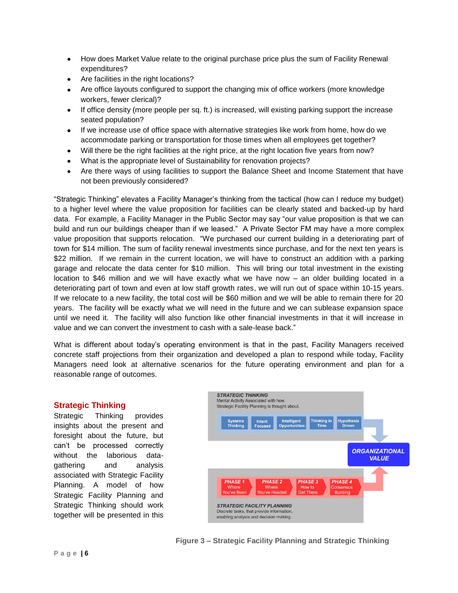- How does Market Value relate to the original purchase price plus the sum of Facility Renewal  $\bullet$ expenditures?
- Are facilities in the right locations?
- Are office layouts configured to support the changing mix of office workers (more knowledge  $\bullet$ workers, fewer clerical)?
- If office density (more people per sq. ft.) is increased, will existing parking support the increase  $\bullet$ seated population?
- If we increase use of office space with alternative strategies like work from home, how do we accommodate parking or transportation for those times when all employees get together?
- Will there be the right facilities at the right price, at the right location five years from now?  $\bullet$
- What is the appropriate level of Sustainability for renovation projects?  $\bullet$
- Are there ways of using facilities to support the Balance Sheet and Income Statement that have  $\bullet$ not been previously considered?

"Strategic Thinking" elevates a Facility Manager's thinking from the tactical (how can I reduce my budget) to a higher level where the value proposition for facilities can be clearly stated and backed-up by hard data. For example, a Facility Manager in the Public Sector may say "our value proposition is that we can build and run our buildings cheaper than if we leased." A Private Sector FM may have a more complex value proposition that supports relocation. "We purchased our current building in a deteriorating part of town for \$14 million. The sum of facility renewal investments since purchase, and for the next ten years is \$22 million. If we remain in the current location, we will have to construct an addition with a parking garage and relocate the data center for \$10 million. This will bring our total investment in the existing location to \$46 million and we will have exactly what we have now – an older building located in a deteriorating part of town and even at low staff growth rates, we will run out of space within 10-15 years. If we relocate to a new facility, the total cost will be \$60 million and we will be able to remain there for 20 years. The facility will be exactly what we will need in the future and we can sublease expansion space until we need it. The facility will also function like other financial investments in that it will increase in value and we can convert the investment to cash with a sale-lease back."

What is different about today's operating environment is that in the past, Facility Managers received concrete staff projections from their organization and developed a plan to respond while today, Facility Managers need look at alternative scenarios for the future operating environment and plan for a reasonable range of outcomes.

# **Strategic Thinking**

Strategic Thinking provides insights about the present and foresight about the future, but can't be processed correctly without the laborious datagathering and analysis associated with Strategic Facility Planning. A model of how Strategic Facility Planning and Strategic Thinking should work together will be presented in this

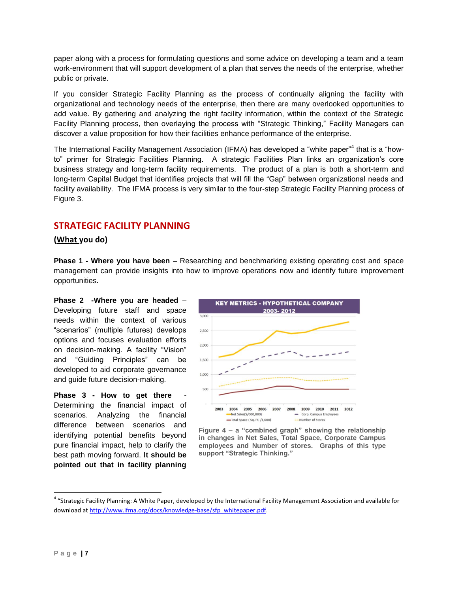paper along with a process for formulating questions and some advice on developing a team and a team work-environment that will support development of a plan that serves the needs of the enterprise, whether public or private.

If you consider Strategic Facility Planning as the process of continually aligning the facility with organizational and technology needs of the enterprise, then there are many overlooked opportunities to add value. By gathering and analyzing the right facility information, within the context of the Strategic Facility Planning process, then overlaying the process with "Strategic Thinking," Facility Managers can discover a value proposition for how their facilities enhance performance of the enterprise.

The International Facility Management Association (IFMA) has developed a "white paper"<sup>4</sup> that is a "howto" primer for Strategic Facilities Planning. A strategic Facilities Plan links an organization's core business strategy and long-term facility requirements. The product of a plan is both a short-term and long-term Capital Budget that identifies projects that will fill the "Gap" between organizational needs and facility availability. The IFMA process is very similar to the four-step Strategic Facility Planning process of Figure 3.

# **STRATEGIC FACILITY PLANNING**

# **(What you do)**

**Phase 1 - Where you have been** – Researching and benchmarking existing operating cost and space management can provide insights into how to improve operations now and identify future improvement opportunities.

**Phase 2 -Where you are headed** – Developing future staff and space needs within the context of various "scenarios" (multiple futures) develops options and focuses evaluation efforts on decision-making. A facility "Vision" and "Guiding Principles" can be developed to aid corporate governance and guide future decision-making.

**Phase 3 - How to get there** Determining the financial impact of scenarios. Analyzing the financial difference between scenarios and identifying potential benefits beyond pure financial impact, help to clarify the best path moving forward. **It should be pointed out that in facility planning** 



**Figure 4 – a "combined graph" showing the relationship in changes in Net Sales, Total Space, Corporate Campus employees and Number of stores. Graphs of this type support "Strategic Thinking."**

 $\overline{\phantom{a}}$ 

<sup>&</sup>lt;sup>4</sup> "Strategic Facility Planning: A White Paper, developed by the International Facility Management Association and available for download at [http://www.ifma.org/docs/knowledge-base/sfp\\_whitepaper.pdf.](http://www.ifma.org/docs/knowledge-base/sfp_whitepaper.pdf)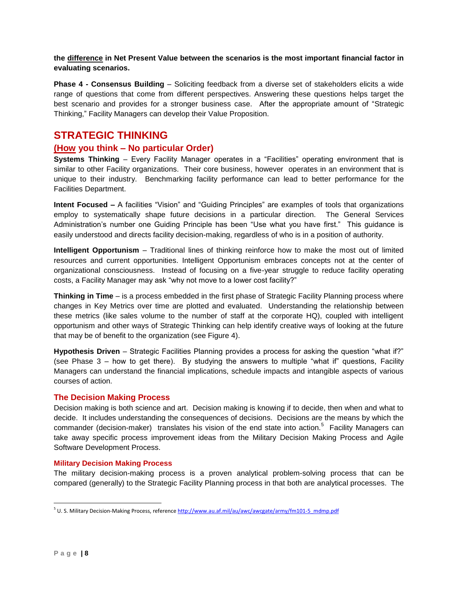# **the difference in Net Present Value between the scenarios is the most important financial factor in evaluating scenarios.**

**Phase 4 - Consensus Building** – Soliciting feedback from a diverse set of stakeholders elicits a wide range of questions that come from different perspectives. Answering these questions helps target the best scenario and provides for a stronger business case. After the appropriate amount of "Strategic Thinking," Facility Managers can develop their Value Proposition.

# **STRATEGIC THINKING**

# **(How you think – No particular Order)**

**Systems Thinking** – Every Facility Manager operates in a "Facilities" operating environment that is similar to other Facility organizations. Their core business, however operates in an environment that is unique to their industry. Benchmarking facility performance can lead to better performance for the Facilities Department.

**Intent Focused –** A facilities "Vision" and "Guiding Principles" are examples of tools that organizations employ to systematically shape future decisions in a particular direction. The General Services Administration's number one Guiding Principle has been "Use what you have first." This guidance is easily understood and directs facility decision-making, regardless of who is in a position of authority.

**Intelligent Opportunism** – Traditional lines of thinking reinforce how to make the most out of limited resources and current opportunities. Intelligent Opportunism embraces concepts not at the center of organizational consciousness. Instead of focusing on a five-year struggle to reduce facility operating costs, a Facility Manager may ask "why not move to a lower cost facility?"

**Thinking in Time** – is a process embedded in the first phase of Strategic Facility Planning process where changes in Key Metrics over time are plotted and evaluated. Understanding the relationship between these metrics (like sales volume to the number of staff at the corporate HQ), coupled with intelligent opportunism and other ways of Strategic Thinking can help identify creative ways of looking at the future that may be of benefit to the organization (see Figure 4).

**Hypothesis Driven** – Strategic Facilities Planning provides a process for asking the question "what if?" (see Phase 3 – how to get there). By studying the answers to multiple "what if" questions, Facility Managers can understand the financial implications, schedule impacts and intangible aspects of various courses of action.

# **The Decision Making Process**

Decision making is both science and art. Decision making is knowing if to decide, then when and what to decide. It includes understanding the consequences of decisions. Decisions are the means by which the commander (decision-maker) translates his vision of the end state into action.<sup>5</sup> Facility Managers can take away specific process improvement ideas from the Military Decision Making Process and Agile Software Development Process.

# **Military Decision Making Process**

The military decision-making process is a proven analytical problem-solving process that can be compared (generally) to the Strategic Facility Planning process in that both are analytical processes. The

<sup>&</sup>lt;sup>5</sup> U. S. Military Decision-Making Process, reference <u>http://www.au.af.mil/au/awc/awcgate/army/fm101-5\_mdmp.pdf</u>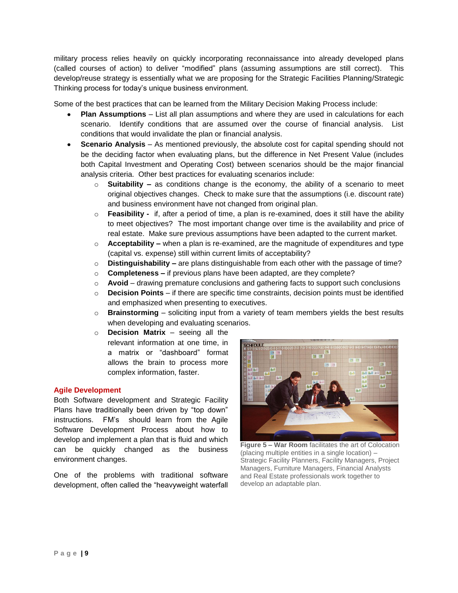military process relies heavily on quickly incorporating reconnaissance into already developed plans (called courses of action) to deliver "modified" plans (assuming assumptions are still correct). This develop/reuse strategy is essentially what we are proposing for the Strategic Facilities Planning/Strategic Thinking process for today's unique business environment.

Some of the best practices that can be learned from the Military Decision Making Process include:

- **Plan Assumptions** List all plan assumptions and where they are used in calculations for each scenario. Identify conditions that are assumed over the course of financial analysis. List conditions that would invalidate the plan or financial analysis.
- **Scenario Analysis** As mentioned previously, the absolute cost for capital spending should not be the deciding factor when evaluating plans, but the difference in Net Present Value (includes both Capital Investment and Operating Cost) between scenarios should be the major financial analysis criteria. Other best practices for evaluating scenarios include:
	- o **Suitability –** as conditions change is the economy, the ability of a scenario to meet original objectives changes. Check to make sure that the assumptions (i.e. discount rate) and business environment have not changed from original plan.
	- o **Feasibility -** if, after a period of time, a plan is re-examined, does it still have the ability to meet objectives? The most important change over time is the availability and price of real estate. Make sure previous assumptions have been adapted to the current market.
	- o **Acceptability –** when a plan is re-examined, are the magnitude of expenditures and type (capital vs. expense) still within current limits of acceptability?
	- o **Distinguishability –** are plans distinguishable from each other with the passage of time?
	- o **Completeness –** if previous plans have been adapted, are they complete?
	- o **Avoid**  drawing premature conclusions and gathering facts to support such conclusions
	- o **Decision Points**  if there are specific time constraints, decision points must be identified and emphasized when presenting to executives.
	- o **Brainstorming**  soliciting input from a variety of team members yields the best results when developing and evaluating scenarios.
	- o **Decision Matrix**  seeing all the relevant information at one time, in a matrix or "dashboard" format allows the brain to process more complex information, faster.

# **Agile Development**

Both Software development and Strategic Facility Plans have traditionally been driven by "top down" instructions. FM's should learn from the Agile Software Development Process about how to develop and implement a plan that is fluid and which can be quickly changed as the business environment changes.

One of the problems with traditional software development, often called the "heavyweight waterfall



**Figure 5 – War Room** facilitates the art of Colocation (placing multiple entities in a single location) – Strategic Facility Planners, Facility Managers, Project Managers, Furniture Managers, Financial Analysts and Real Estate professionals work together to develop an adaptable plan.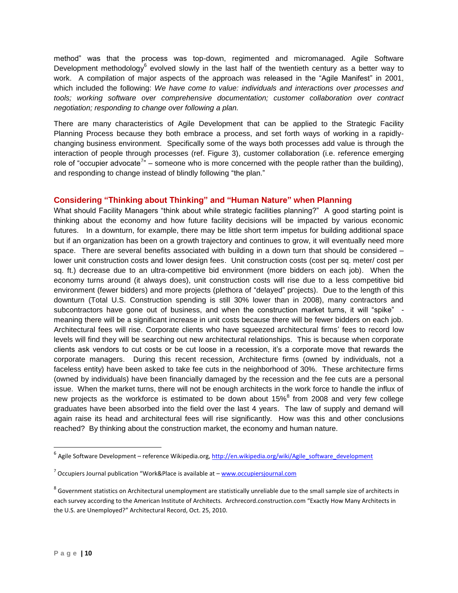method" was that the process was top-down, regimented and micromanaged. Agile Software Development methodology $^6$  evolved slowly in the last half of the twentieth century as a better way to work. A compilation of major aspects of the approach was released in the "Agile Manifest" in 2001, which included the following: *We have come to value: individuals and interactions over processes and tools; working software over comprehensive documentation; customer collaboration over contract negotiation; responding to change over following a plan.*

There are many characteristics of Agile Development that can be applied to the Strategic Facility Planning Process because they both embrace a process, and set forth ways of working in a rapidlychanging business environment. Specifically some of the ways both processes add value is through the interaction of people through processes (ref. Figure 3), customer collaboration (i.e. reference emerging role of "occupier advocate<sup>7</sup>" – someone who is more concerned with the people rather than the building), and responding to change instead of blindly following "the plan."

# **Considering "Thinking about Thinking" and "Human Nature" when Planning**

What should Facility Managers "think about while strategic facilities planning?" A good starting point is thinking about the economy and how future facility decisions will be impacted by various economic futures. In a downturn, for example, there may be little short term impetus for building additional space but if an organization has been on a growth trajectory and continues to grow, it will eventually need more space. There are several benefits associated with building in a down turn that should be considered lower unit construction costs and lower design fees. Unit construction costs (cost per sq. meter/ cost per sq. ft.) decrease due to an ultra-competitive bid environment (more bidders on each job). When the economy turns around (it always does), unit construction costs will rise due to a less competitive bid environment (fewer bidders) and more projects (plethora of "delayed" projects). Due to the length of this downturn (Total U.S. Construction spending is still 30% lower than in 2008), many contractors and subcontractors have gone out of business, and when the construction market turns, it will "spike" meaning there will be a significant increase in unit costs because there will be fewer bidders on each job. Architectural fees will rise. Corporate clients who have squeezed architectural firms' fees to record low levels will find they will be searching out new architectural relationships. This is because when corporate clients ask vendors to cut costs or be cut loose in a recession, it's a corporate move that rewards the corporate managers. During this recent recession, Architecture firms (owned by individuals, not a faceless entity) have been asked to take fee cuts in the neighborhood of 30%. These architecture firms (owned by individuals) have been financially damaged by the recession and the fee cuts are a personal issue. When the market turns, there will not be enough architects in the work force to handle the influx of new projects as the workforce is estimated to be down about  $15\%$ <sup>8</sup> from 2008 and very few college graduates have been absorbed into the field over the last 4 years. The law of supply and demand will again raise its head and architectural fees will rise significantly. How was this and other conclusions reached? By thinking about the construction market, the economy and human nature.

 $\overline{\phantom{a}}$ 

<sup>&</sup>lt;sup>6</sup> Agile Software Development – reference Wikipedia.org, <u>http://en.wikipedia.org/wiki/Agile\_software\_development</u>

<sup>&</sup>lt;sup>7</sup> Occupiers Journal publication "Work&Place is available at – [www.occupiersjournal.com](http://www.occupiersjournal.com/)

 $^8$  Government statistics on Architectural unemployment are statistically unreliable due to the small sample size of architects in each survey according to the American Institute of Architects. Archrecord.construction.com "Exactly How Many Architects in the U.S. are Unemployed?" Architectural Record, Oct. 25, 2010.